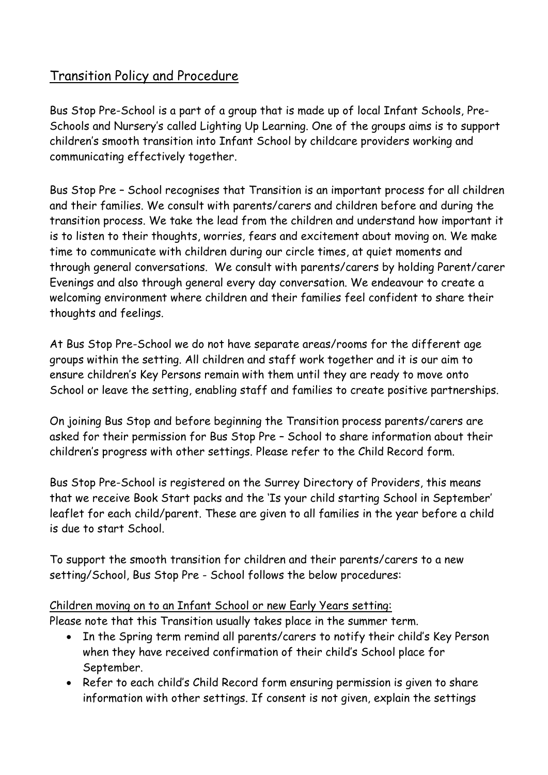## Transition Policy and Procedure

Bus Stop Pre-School is a part of a group that is made up of local Infant Schools, Pre-Schools and Nursery's called Lighting Up Learning. One of the groups aims is to support children's smooth transition into Infant School by childcare providers working and communicating effectively together.

Bus Stop Pre – School recognises that Transition is an important process for all children and their families. We consult with parents/carers and children before and during the transition process. We take the lead from the children and understand how important it is to listen to their thoughts, worries, fears and excitement about moving on. We make time to communicate with children during our circle times, at quiet moments and through general conversations. We consult with parents/carers by holding Parent/carer Evenings and also through general every day conversation. We endeavour to create a welcoming environment where children and their families feel confident to share their thoughts and feelings.

At Bus Stop Pre-School we do not have separate areas/rooms for the different age groups within the setting. All children and staff work together and it is our aim to ensure children's Key Persons remain with them until they are ready to move onto School or leave the setting, enabling staff and families to create positive partnerships.

On joining Bus Stop and before beginning the Transition process parents/carers are asked for their permission for Bus Stop Pre – School to share information about their children's progress with other settings. Please refer to the Child Record form.

Bus Stop Pre-School is registered on the Surrey Directory of Providers, this means that we receive Book Start packs and the 'Is your child starting School in September' leaflet for each child/parent. These are given to all families in the year before a child is due to start School.

To support the smooth transition for children and their parents/carers to a new setting/School, Bus Stop Pre - School follows the below procedures:

## Children moving on to an Infant School or new Early Years setting:

Please note that this Transition usually takes place in the summer term.

- In the Spring term remind all parents/carers to notify their child's Key Person when they have received confirmation of their child's School place for September.
- Refer to each child's Child Record form ensuring permission is given to share information with other settings. If consent is not given, explain the settings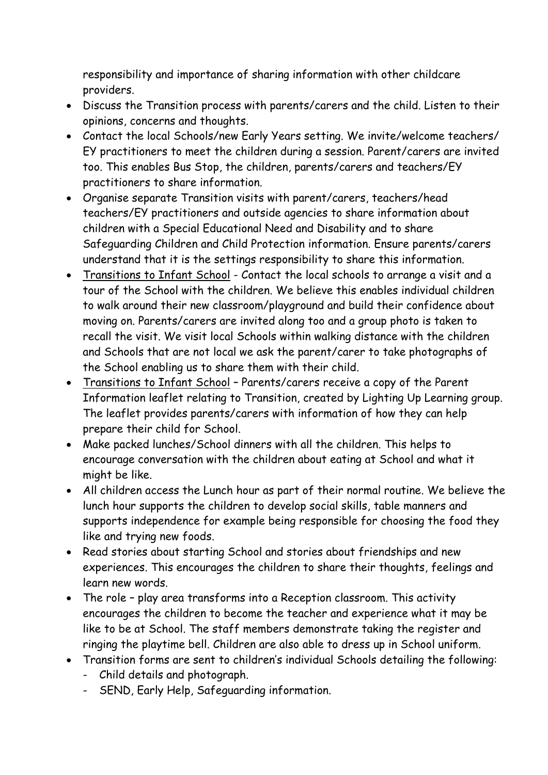responsibility and importance of sharing information with other childcare providers.

- Discuss the Transition process with parents/carers and the child. Listen to their opinions, concerns and thoughts.
- Contact the local Schools/new Early Years setting. We invite/welcome teachers/ EY practitioners to meet the children during a session. Parent/carers are invited too. This enables Bus Stop, the children, parents/carers and teachers/EY practitioners to share information.
- Organise separate Transition visits with parent/carers, teachers/head teachers/EY practitioners and outside agencies to share information about children with a Special Educational Need and Disability and to share Safeguarding Children and Child Protection information. Ensure parents/carers understand that it is the settings responsibility to share this information.
- Transitions to Infant School Contact the local schools to arrange a visit and a tour of the School with the children. We believe this enables individual children to walk around their new classroom/playground and build their confidence about moving on. Parents/carers are invited along too and a group photo is taken to recall the visit. We visit local Schools within walking distance with the children and Schools that are not local we ask the parent/carer to take photographs of the School enabling us to share them with their child.
- Transitions to Infant School Parents/carers receive a copy of the Parent Information leaflet relating to Transition, created by Lighting Up Learning group. The leaflet provides parents/carers with information of how they can help prepare their child for School.
- Make packed lunches/School dinners with all the children. This helps to encourage conversation with the children about eating at School and what it might be like.
- All children access the Lunch hour as part of their normal routine. We believe the lunch hour supports the children to develop social skills, table manners and supports independence for example being responsible for choosing the food they like and trying new foods.
- Read stories about starting School and stories about friendships and new experiences. This encourages the children to share their thoughts, feelings and learn new words.
- The role play area transforms into a Reception classroom. This activity encourages the children to become the teacher and experience what it may be like to be at School. The staff members demonstrate taking the register and ringing the playtime bell. Children are also able to dress up in School uniform.
- Transition forms are sent to children's individual Schools detailing the following:
	- Child details and photograph.
	- SEND, Early Help, Safeguarding information.